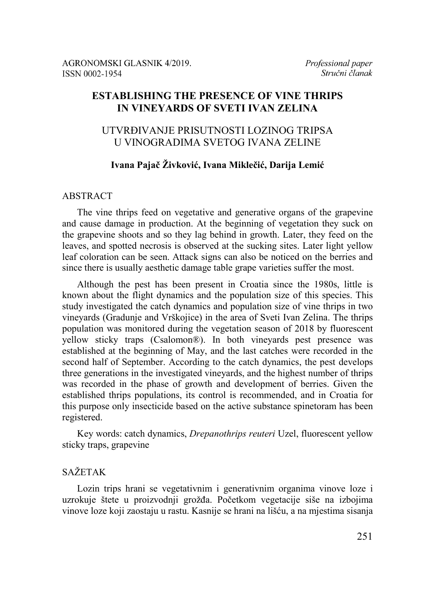# **ESTABLISHING THE PRESENCE OF VINE THRIPS IN VINEYARDS OF SVETI IVAN ZELINA**

# UTVRĐIVANJE PRISUTNOSTI LOZINOG TRIPSA U VINOGRADIMA SVETOG IVANA ZELINE

## **Ivana Pajač Živković, Ivana Miklečić, Darija Lemić**

#### ABSTRACT

The vine thrips feed on vegetative and generative organs of the grapevine and cause damage in production. At the beginning of vegetation they suck on the grapevine shoots and so they lag behind in growth. Later, they feed on the leaves, and spotted necrosis is observed at the sucking sites. Later light yellow leaf coloration can be seen. Attack signs can also be noticed on the berries and since there is usually aesthetic damage table grape varieties suffer the most.

Although the pest has been present in Croatia since the 1980s, little is known about the flight dynamics and the population size of this species. This study investigated the catch dynamics and population size of vine thrips in two vineyards (Gradunje and Vrškojice) in the area of Sveti Ivan Zelina. The thrips population was monitored during the vegetation season of 2018 by fluorescent yellow sticky traps (Csalomon®). In both vineyards pest presence was established at the beginning of May, and the last catches were recorded in the second half of September. According to the catch dynamics, the pest develops three generations in the investigated vineyards, and the highest number of thrips was recorded in the phase of growth and development of berries. Given the established thrips populations, its control is recommended, and in Croatia for this purpose only insecticide based on the active substance spinetoram has been registered.

Key words: catch dynamics, *Drepanothrips reuteri* Uzel, fluorescent yellow sticky traps, grapevine

### SAŽETAK

Lozin trips hrani se vegetativnim i generativnim organima vinove loze i uzrokuje štete u proizvodnji grožđa. Početkom vegetacije siše na izbojima vinove loze koji zaostaju u rastu. Kasnije se hrani na lišću, a na mjestima sisanja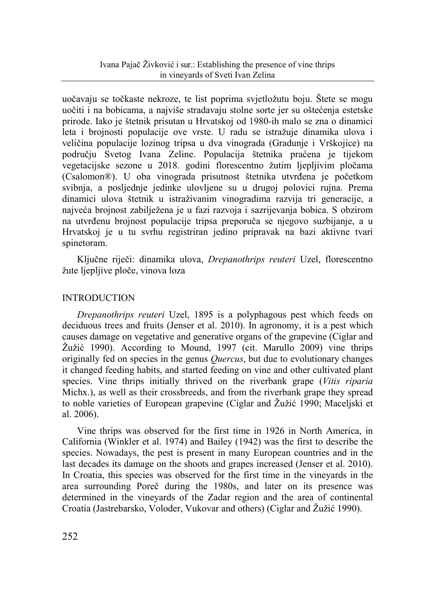uočavaju se točkaste nekroze, te list poprima svjetložutu boju. Štete se mogu uočiti i na bobicama, a najviše stradavaju stolne sorte jer su oštećenja estetske prirode. Iako je štetnik prisutan u Hrvatskoj od 1980-ih malo se zna o dinamici leta i brojnosti populacije ove vrste. U radu se istražuje dinamika ulova i veličina populacije lozinog tripsa u dva vinograda (Gradunje i Vrškojice) na području Svetog Ivana Zeline. Populacija štetnika praćena je tijekom vegetacijske sezone u 2018. godini florescentno žutim ljepljivim pločama (Csalomon®). U oba vinograda prisutnost štetnika utvrđena je početkom svibnja, a posljednje jedinke ulovljene su u drugoj polovici rujna. Prema dinamici ulova štetnik u istraživanim vinogradima razvija tri generacije, a najveća brojnost zabilježena je u fazi razvoja i sazrijevanja bobica. S obzirom na utvrđenu brojnost populacije tripsa preporuča se njegovo suzbijanje, a u Hrvatskoj je u tu svrhu registriran jedino pripravak na bazi aktivne tvari spinetoram.

Ključne riječi: dinamika ulova, *Drepanothrips reuteri* Uzel, florescentno žute ljepljive ploče, vinova loza

# INTRODUCTION

*Drepanothrips reuteri* Uzel, 1895 is a polyphagous pest which feeds on deciduous trees and fruits (Jenser et al. 2010). In agronomy, it is a pest which causes damage on vegetative and generative organs of the grapevine (Ciglar and Žužić 1990). According to Mound, 1997 (cit. Marullo 2009) vine thrips originally fed on species in the genus *Quercus*, but due to evolutionary changes it changed feeding habits, and started feeding on vine and other cultivated plant species. Vine thrips initially thrived on the riverbank grape (*Vitis riparia* Michx.), as well as their crossbreeds, and from the riverbank grape they spread to noble varieties of European grapevine (Ciglar and Žužić 1990; Maceljski et al. 2006).

Vine thrips was observed for the first time in 1926 in North America, in California (Winkler et al. 1974) and Bailey (1942) was the first to describe the species. Nowadays, the pest is present in many European countries and in the last decades its damage on the shoots and grapes increased (Jenser et al. 2010). In Croatia, this species was observed for the first time in the vineyards in the area surrounding Poreč during the 1980s, and later on its presence was determined in the vineyards of the Zadar region and the area of continental Croatia (Jastrebarsko, Voloder, Vukovar and others) (Ciglar and Žužić 1990).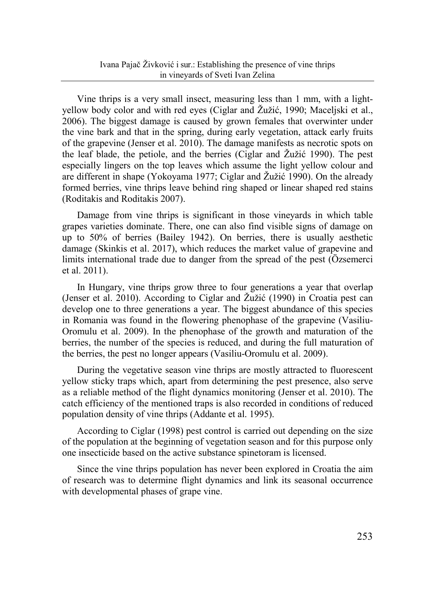Vine thrips is a very small insect, measuring less than 1 mm, with a lightyellow body color and with red eyes (Ciglar and Žužić, 1990; Maceljski et al., 2006). The biggest damage is caused by grown females that overwinter under the vine bark and that in the spring, during early vegetation, attack early fruits of the grapevine (Jenser et al. 2010). The damage manifests as necrotic spots on the leaf blade, the petiole, and the berries (Ciglar and Žužić 1990). The pest especially lingers on the top leaves which assume the light yellow colour and are different in shape (Yokoyama 1977; Ciglar and Žužić 1990). On the already formed berries, vine thrips leave behind ring shaped or linear shaped red stains (Roditakis and Roditakis 2007).

Damage from vine thrips is significant in those vineyards in which table grapes varieties dominate. There, one can also find visible signs of damage on up to 50% of berries (Bailey 1942). On berries, there is usually aesthetic damage (Skinkis et al. 2017), which reduces the market value of grapevine and limits international trade due to danger from the spread of the pest (Özsemerci et al. 2011).

In Hungary, vine thrips grow three to four generations a year that overlap (Jenser et al. 2010). According to Ciglar and Žužić (1990) in Croatia pest can develop one to three generations a year. The biggest abundance of this species in Romania was found in the flowering phenophase of the grapevine (Vasiliu-Oromulu et al. 2009). In the phenophase of the growth and maturation of the berries, the number of the species is reduced, and during the full maturation of the berries, the pest no longer appears (Vasiliu-Oromulu et al. 2009).

During the vegetative season vine thrips are mostly attracted to fluorescent yellow sticky traps which, apart from determining the pest presence, also serve as a reliable method of the flight dynamics monitoring (Jenser et al. 2010). The catch efficiency of the mentioned traps is also recorded in conditions of reduced population density of vine thrips (Addante et al. 1995).

According to Ciglar (1998) pest control is carried out depending on the size of the population at the beginning of vegetation season and for this purpose only one insecticide based on the active substance spinetoram is licensed.

Since the vine thrips population has never been explored in Croatia the aim of research was to determine flight dynamics and link its seasonal occurrence with developmental phases of grape vine.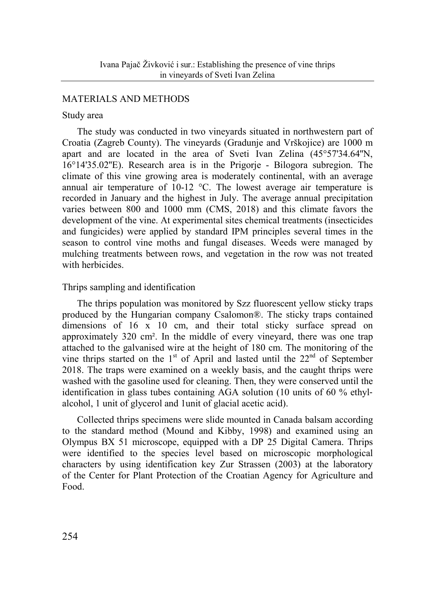## MATERIALS AND METHODS

#### Study area

The study was conducted in two vineyards situated in northwestern part of Croatia (Zagreb County). The vineyards (Gradunje and Vrškojice) are 1000 m apart and are located in the area of Sveti Ivan Zelina (45°57'34.64''N, 16°14'35.02''E). Research area is in the Prigorje - Bilogora subregion. The climate of this vine growing area is moderately continental, with an average annual air temperature of 10-12 °C. The lowest average air temperature is recorded in January and the highest in July. The average annual precipitation varies between 800 and 1000 mm (CMS, 2018) and this climate favors the development of the vine. At experimental sites chemical treatments (insecticides and fungicides) were applied by standard IPM principles several times in the season to control vine moths and fungal diseases. Weeds were managed by mulching treatments between rows, and vegetation in the row was not treated with herbicides

## Thrips sampling and identification

The thrips population was monitored by Szz fluorescent yellow sticky traps produced by the Hungarian company Csalomon®. The sticky traps contained dimensions of 16 x 10 cm, and their total sticky surface spread on approximately 320 cm². In the middle of every vineyard, there was one trap attached to the galvanised wire at the height of 180 cm. The monitoring of the vine thrips started on the  $1<sup>st</sup>$  of April and lasted until the  $22<sup>nd</sup>$  of September 2018. The traps were examined on a weekly basis, and the caught thrips were washed with the gasoline used for cleaning. Then, they were conserved until the identification in glass tubes containing AGA solution (10 units of 60  $\%$  ethylalcohol, 1 unit of glycerol and 1unit of glacial acetic acid).

Collected thrips specimens were slide mounted in Canada balsam according to the standard method (Mound and Kibby, 1998) and examined using an Olympus BX 51 microscope, equipped with a DP 25 Digital Camera. Thrips were identified to the species level based on microscopic morphological characters by using identification key Zur Strassen (2003) at the laboratory of the Center for Plant Protection of the Croatian Agency for Agriculture and Food.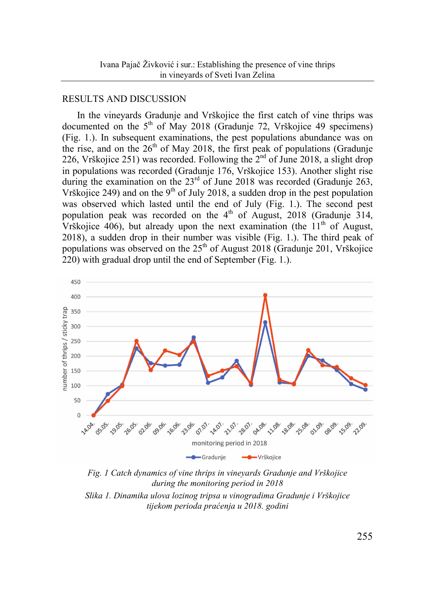#### RESULTS AND DISCUSSION

In the vineyards Gradunje and Vrškojice the first catch of vine thrips was documented on the  $5<sup>th</sup>$  of May 2018 (Gradunje 72, Vrškojice 49 specimens) (Fig. 1.). In subsequent examinations, the pest populations abundance was on the rise, and on the  $26<sup>th</sup>$  of May 2018, the first peak of populations (Gradunje 226, Vrškojice 251) was recorded. Following the  $2<sup>nd</sup>$  of June 2018, a slight drop in populations was recorded (Gradunje 176, Vrškojice 153). Another slight rise during the examination on the  $23<sup>rd</sup>$  of June 2018 was recorded (Gradunje 263, Vrškojice 249) and on the 9<sup>th</sup> of July 2018, a sudden drop in the pest population was observed which lasted until the end of July (Fig. 1.). The second pest population peak was recorded on the  $4<sup>th</sup>$  of August, 2018 (Gradunje 314, Vrškojice 406), but already upon the next examination (the  $11<sup>th</sup>$  of August, 2018), a sudden drop in their number was visible (Fig. 1.). The third peak of populations was observed on the  $25<sup>th</sup>$  of August 2018 (Gradunje 201, Vrškojice 220) with gradual drop until the end of September (Fig. 1.).



*Fig. 1 Catch dynamics of vine thrips in vineyards Gradunje and Vrškojice during the monitoring period in 2018*

*Slika 1. Dinamika ulova lozinog tripsa u vinogradima Gradunje i Vrškojice tijekom perioda praćenja u 2018. godini*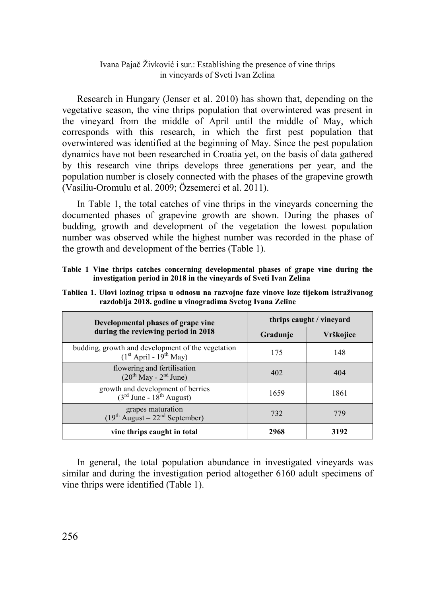Research in Hungary (Jenser et al. 2010) has shown that, depending on the vegetative season, the vine thrips population that overwintered was present in the vineyard from the middle of April until the middle of May, which corresponds with this research, in which the first pest population that overwintered was identified at the beginning of May. Since the pest population dynamics have not been researched in Croatia yet, on the basis of data gathered by this research vine thrips develops three generations per year, and the population number is closely connected with the phases of the grapevine growth (Vasiliu-Oromulu et al. 2009; Özsemerci et al. 2011).

In Table 1, the total catches of vine thrips in the vineyards concerning the documented phases of grapevine growth are shown. During the phases of budding, growth and development of the vegetation the lowest population number was observed while the highest number was recorded in the phase of the growth and development of the berries (Table 1).

**Table 1 Vine thrips catches concerning developmental phases of grape vine during the investigation period in 2018 in the vineyards of Sveti Ivan Zelina**

| Developmental phases of grape vine<br>during the reviewing period in 2018       | thrips caught / vineyard |           |
|---------------------------------------------------------------------------------|--------------------------|-----------|
|                                                                                 | Gradunje                 | Vrškojice |
| budding, growth and development of the vegetation<br>$(1st$ April - $19th$ May) | 175                      | 148       |
| flowering and fertilisation<br>$(20^{th}$ May - $2^{nd}$ June)                  | 402                      | 404       |
| growth and development of berries<br>$(3rd$ June - $18th$ August)               | 1659                     | 1861      |
| grapes maturation<br>$(19th$ August – 22 <sup>nd</sup> September)               | 732                      | 779       |
| vine thrips caught in total                                                     | 2968                     | 3192      |

**Tablica 1. Ulovi lozinog tripsa u odnosu na razvojne faze vinove loze tijekom istraživanog razdoblja 2018. godine u vinogradima Svetog Ivana Zeline**

In general, the total population abundance in investigated vineyards was similar and during the investigation period altogether 6160 adult specimens of vine thrips were identified (Table 1).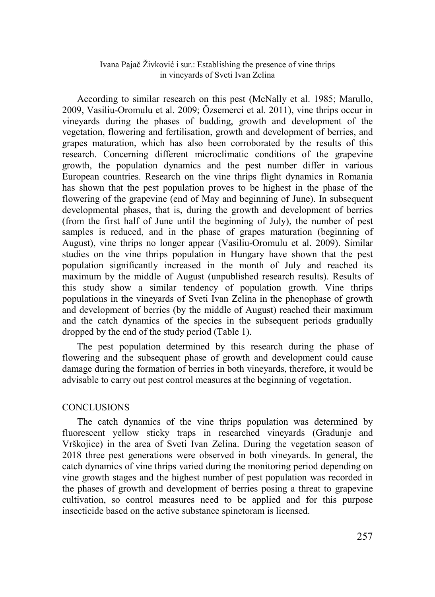According to similar research on this pest (McNally et al. 1985; Marullo, 2009, Vasiliu-Oromulu et al. 2009; Özsemerci et al. 2011), vine thrips occur in vineyards during the phases of budding, growth and development of the vegetation, flowering and fertilisation, growth and development of berries, and grapes maturation, which has also been corroborated by the results of this research. Concerning different microclimatic conditions of the grapevine growth, the population dynamics and the pest number differ in various European countries. Research on the vine thrips flight dynamics in Romania has shown that the pest population proves to be highest in the phase of the flowering of the grapevine (end of May and beginning of June). In subsequent developmental phases, that is, during the growth and development of berries (from the first half of June until the beginning of July), the number of pest samples is reduced, and in the phase of grapes maturation (beginning of August), vine thrips no longer appear (Vasiliu-Oromulu et al. 2009). Similar studies on the vine thrips population in Hungary have shown that the pest population significantly increased in the month of July and reached its maximum by the middle of August (unpublished research results). Results of this study show a similar tendency of population growth. Vine thrips populations in the vineyards of Sveti Ivan Zelina in the phenophase of growth and development of berries (by the middle of August) reached their maximum and the catch dynamics of the species in the subsequent periods gradually dropped by the end of the study period (Table 1).

The pest population determined by this research during the phase of flowering and the subsequent phase of growth and development could cause damage during the formation of berries in both vineyards, therefore, it would be advisable to carry out pest control measures at the beginning of vegetation.

## **CONCLUSIONS**

The catch dynamics of the vine thrips population was determined by fluorescent yellow sticky traps in researched vineyards (Gradunje and Vrškojice) in the area of Sveti Ivan Zelina. During the vegetation season of 2018 three pest generations were observed in both vineyards. In general, the catch dynamics of vine thrips varied during the monitoring period depending on vine growth stages and the highest number of pest population was recorded in the phases of growth and development of berries posing a threat to grapevine cultivation, so control measures need to be applied and for this purpose insecticide based on the active substance spinetoram is licensed.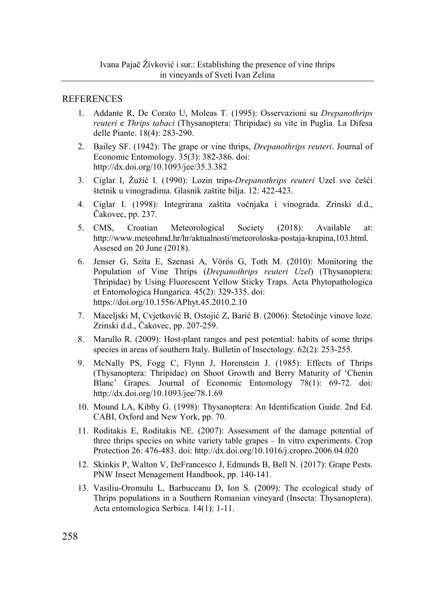#### **REFERENCES**

- 1. Addante R, De Corato U, Moleas T. (1995): Osservazioni su *Drepanothrips reuteri* e *Thrips tabaci* (Thysanoptera: Thripidae) su vite in Puglia. La Difesa delle Piante. 18(4): 283-290.
- 2. Bailey SF. (1942): The grape or vine thrips, *Drepanothrips reuteri*. Journal of Economic Entomology. 35(3): 382-386. doi: http://dx.doi.org/10.1093/jee/35.3.382
- 3. Ciglar I, Žužić I. (1990): Lozin trips-*Drepanothrips reuteri* Uzel sve češći štetnik u vinogradima. Glasnik zaštite bilja. 12: 422-423.
- 4. Ciglar I. (1998): Integrirana zaštita voćnjaka i vinograda. Zrinski d.d., Čakovec, pp. 237.
- 5. CMS, Croatian Meteorological Society (2018): Available at: http://www.meteohmd.hr/hr/aktualnosti/meteoroloska-postaja-krapina,103.html. Assesed on 20 June (2018).
- 6. Jenser G, Szita E, Szenasi A, Vörös G, Toth M. (2010): Monitoring the Population of Vine Thrips (*Drepanothrips reuteri Uzel*) (Thysanoptera: Thripidae) by Using Fluorescent Yellow Sticky Traps. Acta Phytopathologica et Entomologica Hungarica. 45(2): 329-335. doi: https://doi.org/10.1556/APhyt.45.2010.2.10
- 7. Maceljski M, Cvjetković B, Ostojić Z, Barić B. (2006): Štetočinje vinove loze. Zrinski d.d., Čakovec, pp. 207-259.
- 8. Marullo R. (2009): Host-plant ranges and pest potential: habits of some thrips species in areas of southern Italy. Bulletin of Insectology. 62(2): 253-255.
- 9. McNally PS, Fogg C, Flynn J, Horenstein J. (1985): Effects of Thrips (Thysanoptera: Thripidae) on Shoot Growth and Berry Maturity of 'Chenin Blanc' Grapes. Journal of Economic Entomology 78(1): 69-72. doi: http://dx.doi.org/10.1093/jee/78.1.69
- 10. Mound LA, Kibby G. (1998): Thysanoptera: An Identification Guide. 2nd Ed. CABI, Oxford and New York, pp. 70.
- 11. Roditakis E, Roditakis NE. (2007): Assessment of the damage potential of three thrips species on white variety table grapes – In vitro experiments. Crop Protection 26: 476-483. doi: http://dx.doi.org/10.1016/j.cropro.2006.04.020
- 12. Skinkis P, Walton V, DeFrancesco J, Edmunds B, Bell N. (2017): Grape Pests. PNW Insect Menagement Handbook, pp. 140-141.
- 13. Vasiliu-Oromulu L, Barbuceanu D, Ion S. (2009): The ecological study of Thrips populations in a Southern Romanian vineyard (Insecta: Thysanoptera). Acta entomologica Serbica. 14(1): 1-11.